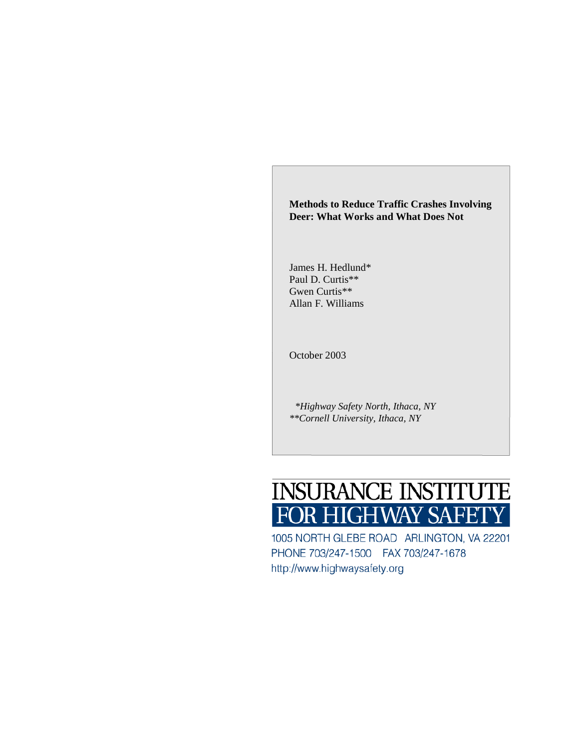# **Methods to Reduce Traffic Crashes Involving Deer: What Works and What Does Not**

James H. Hedlund\* Paul D. Curtis\*\* Gwen Curtis\*\* Allan F. Williams

October 2003

*\*Highway Safety North, Ithaca, NY \*\*Cornell University, Ithaca, NY* 



1005 NORTH GLEBE ROAD ARLINGTON, VA 22201 PHONE 703/247-1500 FAX 703/247-1678 http://www.highwaysafety.org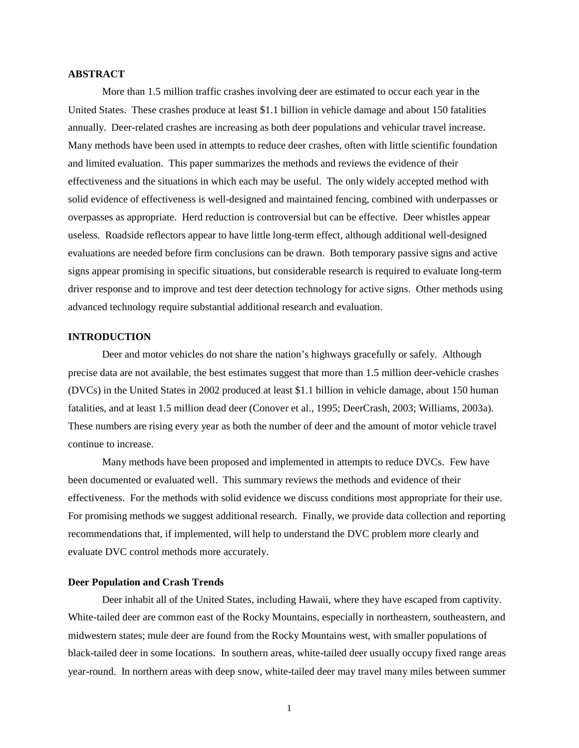## **ABSTRACT**

More than 1.5 million traffic crashes involving deer are estimated to occur each year in the United States. These crashes produce at least \$1.1 billion in vehicle damage and about 150 fatalities annually. Deer-related crashes are increasing as both deer populations and vehicular travel increase. Many methods have been used in attempts to reduce deer crashes, often with little scientific foundation and limited evaluation. This paper summarizes the methods and reviews the evidence of their effectiveness and the situations in which each may be useful. The only widely accepted method with solid evidence of effectiveness is well-designed and maintained fencing, combined with underpasses or overpasses as appropriate. Herd reduction is controversial but can be effective. Deer whistles appear useless. Roadside reflectors appear to have little long-term effect, although additional well-designed evaluations are needed before firm conclusions can be drawn. Both temporary passive signs and active signs appear promising in specific situations, but considerable research is required to evaluate long-term driver response and to improve and test deer detection technology for active signs. Other methods using advanced technology require substantial additional research and evaluation.

## **INTRODUCTION**

Deer and motor vehicles do not share the nation's highways gracefully or safely. Although precise data are not available, the best estimates suggest that more than 1.5 million deer-vehicle crashes (DVCs) in the United States in 2002 produced at least \$1.1 billion in vehicle damage, about 150 human fatalities, and at least 1.5 million dead deer (Conover et al., 1995; DeerCrash, 2003; Williams, 2003a). These numbers are rising every year as both the number of deer and the amount of motor vehicle travel continue to increase.

Many methods have been proposed and implemented in attempts to reduce DVCs. Few have been documented or evaluated well. This summary reviews the methods and evidence of their effectiveness. For the methods with solid evidence we discuss conditions most appropriate for their use. For promising methods we suggest additional research. Finally, we provide data collection and reporting recommendations that, if implemented, will help to understand the DVC problem more clearly and evaluate DVC control methods more accurately.

## **Deer Population and Crash Trends**

Deer inhabit all of the United States, including Hawaii, where they have escaped from captivity. White-tailed deer are common east of the Rocky Mountains, especially in northeastern, southeastern, and midwestern states; mule deer are found from the Rocky Mountains west, with smaller populations of black-tailed deer in some locations. In southern areas, white-tailed deer usually occupy fixed range areas year-round. In northern areas with deep snow, white-tailed deer may travel many miles between summer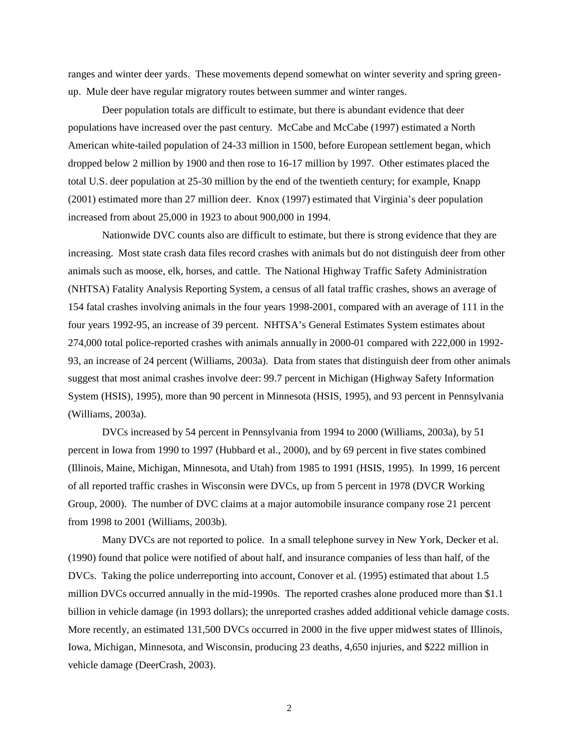ranges and winter deer yards. These movements depend somewhat on winter severity and spring greenup. Mule deer have regular migratory routes between summer and winter ranges.

Deer population totals are difficult to estimate, but there is abundant evidence that deer populations have increased over the past century. McCabe and McCabe (1997) estimated a North American white-tailed population of 24-33 million in 1500, before European settlement began, which dropped below 2 million by 1900 and then rose to 16-17 million by 1997. Other estimates placed the total U.S. deer population at 25-30 million by the end of the twentieth century; for example, Knapp (2001) estimated more than 27 million deer. Knox (1997) estimated that Virginia's deer population increased from about 25,000 in 1923 to about 900,000 in 1994.

Nationwide DVC counts also are difficult to estimate, but there is strong evidence that they are increasing. Most state crash data files record crashes with animals but do not distinguish deer from other animals such as moose, elk, horses, and cattle. The National Highway Traffic Safety Administration (NHTSA) Fatality Analysis Reporting System, a census of all fatal traffic crashes, shows an average of 154 fatal crashes involving animals in the four years 1998-2001, compared with an average of 111 in the four years 1992-95, an increase of 39 percent. NHTSA's General Estimates System estimates about 274,000 total police-reported crashes with animals annually in 2000-01 compared with 222,000 in 1992- 93, an increase of 24 percent (Williams, 2003a). Data from states that distinguish deer from other animals suggest that most animal crashes involve deer: 99.7 percent in Michigan (Highway Safety Information System (HSIS), 1995), more than 90 percent in Minnesota (HSIS, 1995), and 93 percent in Pennsylvania (Williams, 2003a).

DVCs increased by 54 percent in Pennsylvania from 1994 to 2000 (Williams, 2003a), by 51 percent in Iowa from 1990 to 1997 (Hubbard et al., 2000), and by 69 percent in five states combined (Illinois, Maine, Michigan, Minnesota, and Utah) from 1985 to 1991 (HSIS, 1995). In 1999, 16 percent of all reported traffic crashes in Wisconsin were DVCs, up from 5 percent in 1978 (DVCR Working Group, 2000). The number of DVC claims at a major automobile insurance company rose 21 percent from 1998 to 2001 (Williams, 2003b).

Many DVCs are not reported to police. In a small telephone survey in New York, Decker et al. (1990) found that police were notified of about half, and insurance companies of less than half, of the DVCs. Taking the police underreporting into account, Conover et al. (1995) estimated that about 1.5 million DVCs occurred annually in the mid-1990s. The reported crashes alone produced more than \$1.1 billion in vehicle damage (in 1993 dollars); the unreported crashes added additional vehicle damage costs. More recently, an estimated 131,500 DVCs occurred in 2000 in the five upper midwest states of Illinois, Iowa, Michigan, Minnesota, and Wisconsin, producing 23 deaths, 4,650 injuries, and \$222 million in vehicle damage (DeerCrash, 2003).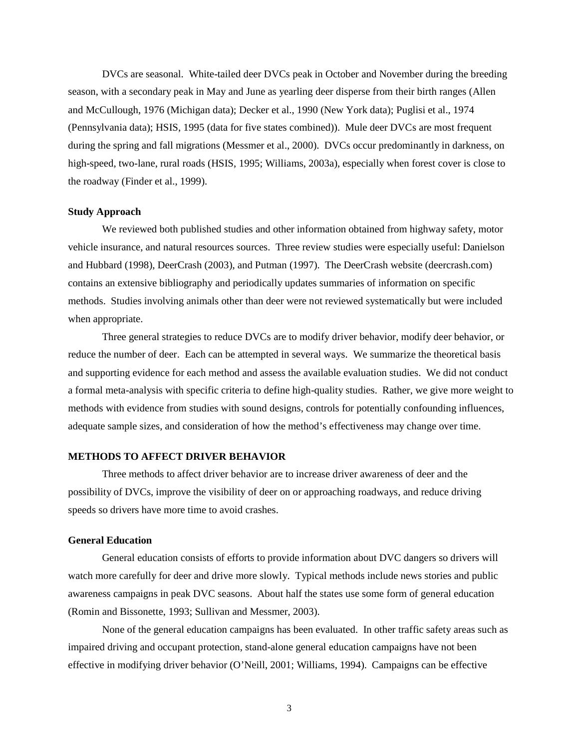DVCs are seasonal. White-tailed deer DVCs peak in October and November during the breeding season, with a secondary peak in May and June as yearling deer disperse from their birth ranges (Allen and McCullough, 1976 (Michigan data); Decker et al., 1990 (New York data); Puglisi et al., 1974 (Pennsylvania data); HSIS, 1995 (data for five states combined)). Mule deer DVCs are most frequent during the spring and fall migrations (Messmer et al., 2000). DVCs occur predominantly in darkness, on high-speed, two-lane, rural roads (HSIS, 1995; Williams, 2003a), especially when forest cover is close to the roadway (Finder et al., 1999).

#### **Study Approach**

We reviewed both published studies and other information obtained from highway safety, motor vehicle insurance, and natural resources sources. Three review studies were especially useful: Danielson and Hubbard (1998), DeerCrash (2003), and Putman (1997). The DeerCrash website (deercrash.com) contains an extensive bibliography and periodically updates summaries of information on specific methods. Studies involving animals other than deer were not reviewed systematically but were included when appropriate.

Three general strategies to reduce DVCs are to modify driver behavior, modify deer behavior, or reduce the number of deer. Each can be attempted in several ways. We summarize the theoretical basis and supporting evidence for each method and assess the available evaluation studies. We did not conduct a formal meta-analysis with specific criteria to define high-quality studies. Rather, we give more weight to methods with evidence from studies with sound designs, controls for potentially confounding influences, adequate sample sizes, and consideration of how the method's effectiveness may change over time.

#### **METHODS TO AFFECT DRIVER BEHAVIOR**

Three methods to affect driver behavior are to increase driver awareness of deer and the possibility of DVCs, improve the visibility of deer on or approaching roadways, and reduce driving speeds so drivers have more time to avoid crashes.

## **General Education**

General education consists of efforts to provide information about DVC dangers so drivers will watch more carefully for deer and drive more slowly. Typical methods include news stories and public awareness campaigns in peak DVC seasons. About half the states use some form of general education (Romin and Bissonette, 1993; Sullivan and Messmer, 2003).

None of the general education campaigns has been evaluated. In other traffic safety areas such as impaired driving and occupant protection, stand-alone general education campaigns have not been effective in modifying driver behavior (O'Neill, 2001; Williams, 1994). Campaigns can be effective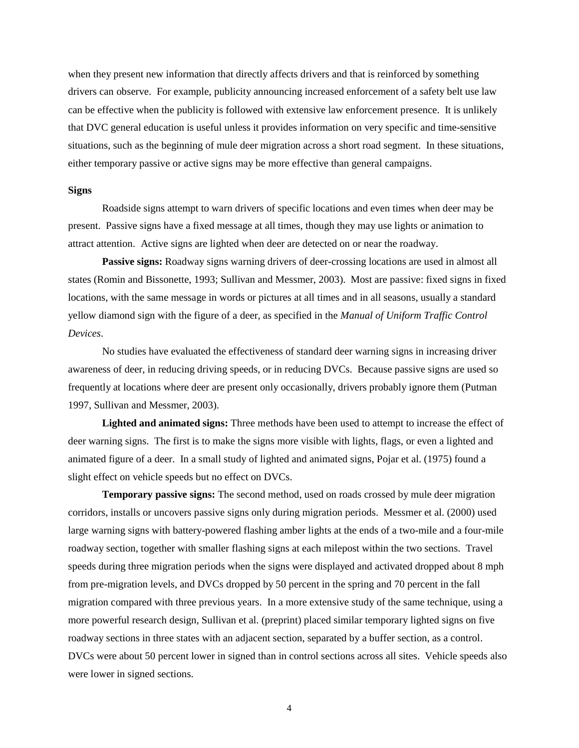when they present new information that directly affects drivers and that is reinforced by something drivers can observe. For example, publicity announcing increased enforcement of a safety belt use law can be effective when the publicity is followed with extensive law enforcement presence. It is unlikely that DVC general education is useful unless it provides information on very specific and time-sensitive situations, such as the beginning of mule deer migration across a short road segment. In these situations, either temporary passive or active signs may be more effective than general campaigns.

#### **Signs**

Roadside signs attempt to warn drivers of specific locations and even times when deer may be present. Passive signs have a fixed message at all times, though they may use lights or animation to attract attention. Active signs are lighted when deer are detected on or near the roadway.

**Passive signs:** Roadway signs warning drivers of deer-crossing locations are used in almost all states (Romin and Bissonette, 1993; Sullivan and Messmer, 2003). Most are passive: fixed signs in fixed locations, with the same message in words or pictures at all times and in all seasons, usually a standard yellow diamond sign with the figure of a deer, as specified in the *Manual of Uniform Traffic Control Devices*.

No studies have evaluated the effectiveness of standard deer warning signs in increasing driver awareness of deer, in reducing driving speeds, or in reducing DVCs. Because passive signs are used so frequently at locations where deer are present only occasionally, drivers probably ignore them (Putman 1997, Sullivan and Messmer, 2003).

**Lighted and animated signs:** Three methods have been used to attempt to increase the effect of deer warning signs. The first is to make the signs more visible with lights, flags, or even a lighted and animated figure of a deer. In a small study of lighted and animated signs, Pojar et al. (1975) found a slight effect on vehicle speeds but no effect on DVCs.

**Temporary passive signs:** The second method, used on roads crossed by mule deer migration corridors, installs or uncovers passive signs only during migration periods. Messmer et al. (2000) used large warning signs with battery-powered flashing amber lights at the ends of a two-mile and a four-mile roadway section, together with smaller flashing signs at each milepost within the two sections. Travel speeds during three migration periods when the signs were displayed and activated dropped about 8 mph from pre-migration levels, and DVCs dropped by 50 percent in the spring and 70 percent in the fall migration compared with three previous years. In a more extensive study of the same technique, using a more powerful research design, Sullivan et al. (preprint) placed similar temporary lighted signs on five roadway sections in three states with an adjacent section, separated by a buffer section, as a control. DVCs were about 50 percent lower in signed than in control sections across all sites. Vehicle speeds also were lower in signed sections.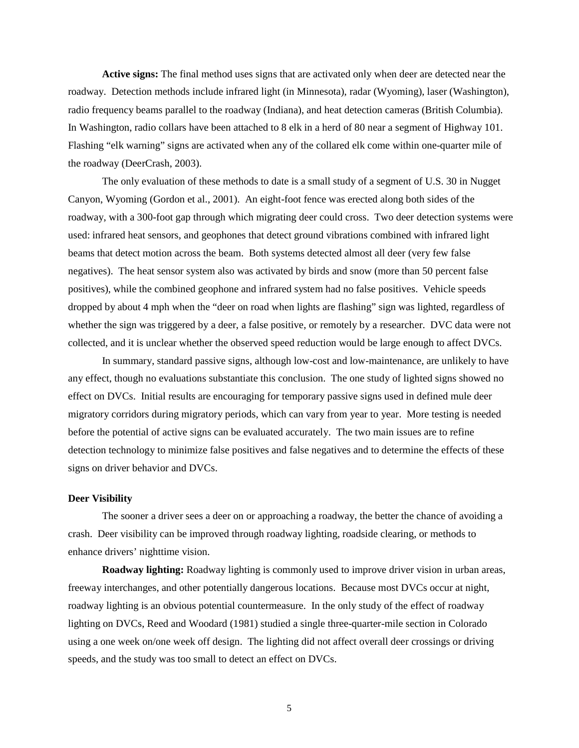**Active signs:** The final method uses signs that are activated only when deer are detected near the roadway. Detection methods include infrared light (in Minnesota), radar (Wyoming), laser (Washington), radio frequency beams parallel to the roadway (Indiana), and heat detection cameras (British Columbia). In Washington, radio collars have been attached to 8 elk in a herd of 80 near a segment of Highway 101. Flashing "elk warning" signs are activated when any of the collared elk come within one-quarter mile of the roadway (DeerCrash, 2003).

The only evaluation of these methods to date is a small study of a segment of U.S. 30 in Nugget Canyon, Wyoming (Gordon et al., 2001). An eight-foot fence was erected along both sides of the roadway, with a 300-foot gap through which migrating deer could cross. Two deer detection systems were used: infrared heat sensors, and geophones that detect ground vibrations combined with infrared light beams that detect motion across the beam. Both systems detected almost all deer (very few false negatives). The heat sensor system also was activated by birds and snow (more than 50 percent false positives), while the combined geophone and infrared system had no false positives. Vehicle speeds dropped by about 4 mph when the "deer on road when lights are flashing" sign was lighted, regardless of whether the sign was triggered by a deer, a false positive, or remotely by a researcher. DVC data were not collected, and it is unclear whether the observed speed reduction would be large enough to affect DVCs.

In summary, standard passive signs, although low-cost and low-maintenance, are unlikely to have any effect, though no evaluations substantiate this conclusion. The one study of lighted signs showed no effect on DVCs. Initial results are encouraging for temporary passive signs used in defined mule deer migratory corridors during migratory periods, which can vary from year to year. More testing is needed before the potential of active signs can be evaluated accurately. The two main issues are to refine detection technology to minimize false positives and false negatives and to determine the effects of these signs on driver behavior and DVCs.

## **Deer Visibility**

The sooner a driver sees a deer on or approaching a roadway, the better the chance of avoiding a crash. Deer visibility can be improved through roadway lighting, roadside clearing, or methods to enhance drivers' nighttime vision.

**Roadway lighting:** Roadway lighting is commonly used to improve driver vision in urban areas, freeway interchanges, and other potentially dangerous locations. Because most DVCs occur at night, roadway lighting is an obvious potential countermeasure. In the only study of the effect of roadway lighting on DVCs, Reed and Woodard (1981) studied a single three-quarter-mile section in Colorado using a one week on/one week off design. The lighting did not affect overall deer crossings or driving speeds, and the study was too small to detect an effect on DVCs.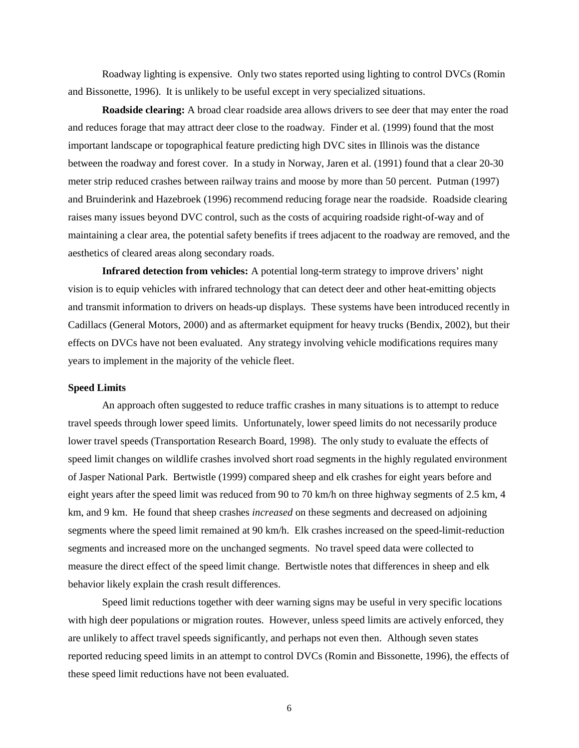Roadway lighting is expensive. Only two states reported using lighting to control DVCs (Romin and Bissonette, 1996). It is unlikely to be useful except in very specialized situations.

**Roadside clearing:** A broad clear roadside area allows drivers to see deer that may enter the road and reduces forage that may attract deer close to the roadway. Finder et al. (1999) found that the most important landscape or topographical feature predicting high DVC sites in Illinois was the distance between the roadway and forest cover. In a study in Norway, Jaren et al. (1991) found that a clear 20-30 meter strip reduced crashes between railway trains and moose by more than 50 percent. Putman (1997) and Bruinderink and Hazebroek (1996) recommend reducing forage near the roadside. Roadside clearing raises many issues beyond DVC control, such as the costs of acquiring roadside right-of-way and of maintaining a clear area, the potential safety benefits if trees adjacent to the roadway are removed, and the aesthetics of cleared areas along secondary roads.

**Infrared detection from vehicles:** A potential long-term strategy to improve drivers' night vision is to equip vehicles with infrared technology that can detect deer and other heat-emitting objects and transmit information to drivers on heads-up displays. These systems have been introduced recently in Cadillacs (General Motors, 2000) and as aftermarket equipment for heavy trucks (Bendix, 2002), but their effects on DVCs have not been evaluated. Any strategy involving vehicle modifications requires many years to implement in the majority of the vehicle fleet.

### **Speed Limits**

An approach often suggested to reduce traffic crashes in many situations is to attempt to reduce travel speeds through lower speed limits. Unfortunately, lower speed limits do not necessarily produce lower travel speeds (Transportation Research Board, 1998). The only study to evaluate the effects of speed limit changes on wildlife crashes involved short road segments in the highly regulated environment of Jasper National Park. Bertwistle (1999) compared sheep and elk crashes for eight years before and eight years after the speed limit was reduced from 90 to 70 km/h on three highway segments of 2.5 km, 4 km, and 9 km. He found that sheep crashes *increased* on these segments and decreased on adjoining segments where the speed limit remained at 90 km/h. Elk crashes increased on the speed-limit-reduction segments and increased more on the unchanged segments. No travel speed data were collected to measure the direct effect of the speed limit change. Bertwistle notes that differences in sheep and elk behavior likely explain the crash result differences.

Speed limit reductions together with deer warning signs may be useful in very specific locations with high deer populations or migration routes. However, unless speed limits are actively enforced, they are unlikely to affect travel speeds significantly, and perhaps not even then. Although seven states reported reducing speed limits in an attempt to control DVCs (Romin and Bissonette, 1996), the effects of these speed limit reductions have not been evaluated.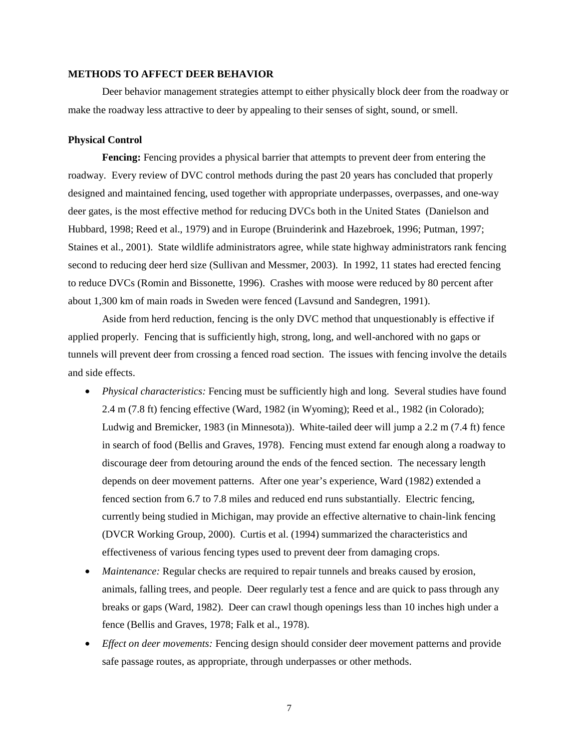#### **METHODS TO AFFECT DEER BEHAVIOR**

Deer behavior management strategies attempt to either physically block deer from the roadway or make the roadway less attractive to deer by appealing to their senses of sight, sound, or smell.

## **Physical Control**

**Fencing:** Fencing provides a physical barrier that attempts to prevent deer from entering the roadway. Every review of DVC control methods during the past 20 years has concluded that properly designed and maintained fencing, used together with appropriate underpasses, overpasses, and one-way deer gates, is the most effective method for reducing DVCs both in the United States (Danielson and Hubbard, 1998; Reed et al., 1979) and in Europe (Bruinderink and Hazebroek, 1996; Putman, 1997; Staines et al., 2001). State wildlife administrators agree, while state highway administrators rank fencing second to reducing deer herd size (Sullivan and Messmer, 2003). In 1992, 11 states had erected fencing to reduce DVCs (Romin and Bissonette, 1996). Crashes with moose were reduced by 80 percent after about 1,300 km of main roads in Sweden were fenced (Lavsund and Sandegren, 1991).

Aside from herd reduction, fencing is the only DVC method that unquestionably is effective if applied properly. Fencing that is sufficiently high, strong, long, and well-anchored with no gaps or tunnels will prevent deer from crossing a fenced road section. The issues with fencing involve the details and side effects.

- *Physical characteristics:* Fencing must be sufficiently high and long. Several studies have found 2.4 m (7.8 ft) fencing effective (Ward, 1982 (in Wyoming); Reed et al., 1982 (in Colorado); Ludwig and Bremicker, 1983 (in Minnesota)). White-tailed deer will jump a 2.2 m (7.4 ft) fence in search of food (Bellis and Graves, 1978). Fencing must extend far enough along a roadway to discourage deer from detouring around the ends of the fenced section. The necessary length depends on deer movement patterns. After one year's experience, Ward (1982) extended a fenced section from 6.7 to 7.8 miles and reduced end runs substantially. Electric fencing, currently being studied in Michigan, may provide an effective alternative to chain-link fencing (DVCR Working Group, 2000). Curtis et al. (1994) summarized the characteristics and effectiveness of various fencing types used to prevent deer from damaging crops.
- *Maintenance:* Regular checks are required to repair tunnels and breaks caused by erosion, animals, falling trees, and people. Deer regularly test a fence and are quick to pass through any breaks or gaps (Ward, 1982). Deer can crawl though openings less than 10 inches high under a fence (Bellis and Graves, 1978; Falk et al., 1978).
- *Effect on deer movements:* Fencing design should consider deer movement patterns and provide safe passage routes, as appropriate, through underpasses or other methods.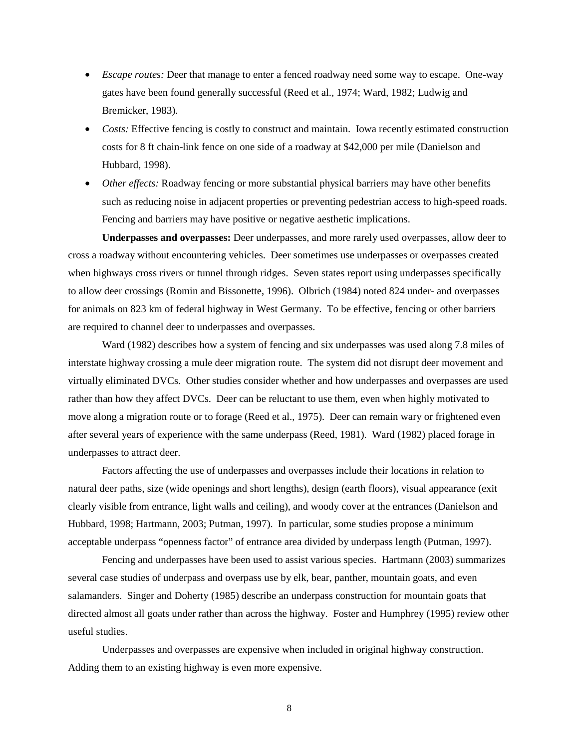- *Escape routes:* Deer that manage to enter a fenced roadway need some way to escape. One-way gates have been found generally successful (Reed et al., 1974; Ward, 1982; Ludwig and Bremicker, 1983).
- *Costs:* Effective fencing is costly to construct and maintain. Iowa recently estimated construction costs for 8 ft chain-link fence on one side of a roadway at \$42,000 per mile (Danielson and Hubbard, 1998).
- *Other effects:* Roadway fencing or more substantial physical barriers may have other benefits such as reducing noise in adjacent properties or preventing pedestrian access to high-speed roads. Fencing and barriers may have positive or negative aesthetic implications.

**Underpasses and overpasses:** Deer underpasses, and more rarely used overpasses, allow deer to cross a roadway without encountering vehicles. Deer sometimes use underpasses or overpasses created when highways cross rivers or tunnel through ridges. Seven states report using underpasses specifically to allow deer crossings (Romin and Bissonette, 1996). Olbrich (1984) noted 824 under- and overpasses for animals on 823 km of federal highway in West Germany. To be effective, fencing or other barriers are required to channel deer to underpasses and overpasses.

Ward (1982) describes how a system of fencing and six underpasses was used along 7.8 miles of interstate highway crossing a mule deer migration route. The system did not disrupt deer movement and virtually eliminated DVCs. Other studies consider whether and how underpasses and overpasses are used rather than how they affect DVCs. Deer can be reluctant to use them, even when highly motivated to move along a migration route or to forage (Reed et al., 1975). Deer can remain wary or frightened even after several years of experience with the same underpass (Reed, 1981). Ward (1982) placed forage in underpasses to attract deer.

Factors affecting the use of underpasses and overpasses include their locations in relation to natural deer paths, size (wide openings and short lengths), design (earth floors), visual appearance (exit clearly visible from entrance, light walls and ceiling), and woody cover at the entrances (Danielson and Hubbard, 1998; Hartmann, 2003; Putman, 1997). In particular, some studies propose a minimum acceptable underpass "openness factor" of entrance area divided by underpass length (Putman, 1997).

Fencing and underpasses have been used to assist various species. Hartmann (2003) summarizes several case studies of underpass and overpass use by elk, bear, panther, mountain goats, and even salamanders. Singer and Doherty (1985) describe an underpass construction for mountain goats that directed almost all goats under rather than across the highway. Foster and Humphrey (1995) review other useful studies.

Underpasses and overpasses are expensive when included in original highway construction. Adding them to an existing highway is even more expensive.

<sup>8</sup>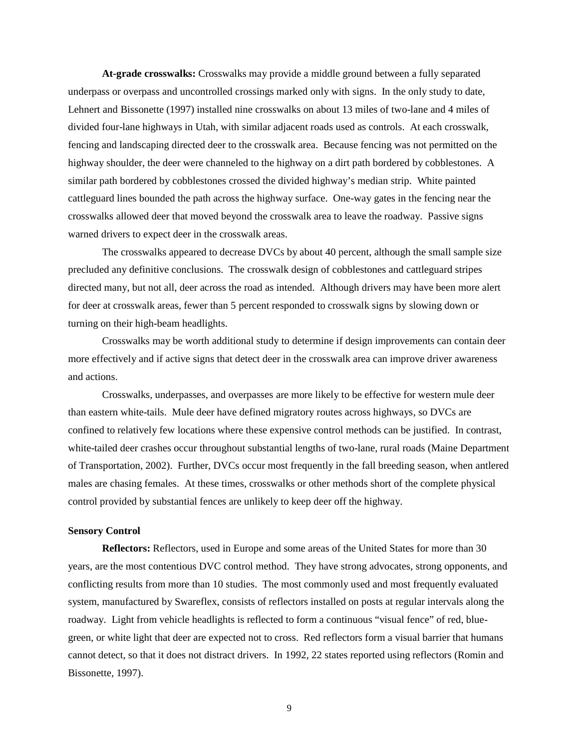**At-grade crosswalks:** Crosswalks may provide a middle ground between a fully separated underpass or overpass and uncontrolled crossings marked only with signs. In the only study to date, Lehnert and Bissonette (1997) installed nine crosswalks on about 13 miles of two-lane and 4 miles of divided four-lane highways in Utah, with similar adjacent roads used as controls. At each crosswalk, fencing and landscaping directed deer to the crosswalk area. Because fencing was not permitted on the highway shoulder, the deer were channeled to the highway on a dirt path bordered by cobblestones. A similar path bordered by cobblestones crossed the divided highway's median strip. White painted cattleguard lines bounded the path across the highway surface. One-way gates in the fencing near the crosswalks allowed deer that moved beyond the crosswalk area to leave the roadway. Passive signs warned drivers to expect deer in the crosswalk areas.

The crosswalks appeared to decrease DVCs by about 40 percent, although the small sample size precluded any definitive conclusions. The crosswalk design of cobblestones and cattleguard stripes directed many, but not all, deer across the road as intended. Although drivers may have been more alert for deer at crosswalk areas, fewer than 5 percent responded to crosswalk signs by slowing down or turning on their high-beam headlights.

Crosswalks may be worth additional study to determine if design improvements can contain deer more effectively and if active signs that detect deer in the crosswalk area can improve driver awareness and actions.

Crosswalks, underpasses, and overpasses are more likely to be effective for western mule deer than eastern white-tails. Mule deer have defined migratory routes across highways, so DVCs are confined to relatively few locations where these expensive control methods can be justified. In contrast, white-tailed deer crashes occur throughout substantial lengths of two-lane, rural roads (Maine Department of Transportation, 2002). Further, DVCs occur most frequently in the fall breeding season, when antlered males are chasing females. At these times, crosswalks or other methods short of the complete physical control provided by substantial fences are unlikely to keep deer off the highway.

## **Sensory Control**

**Reflectors:** Reflectors, used in Europe and some areas of the United States for more than 30 years, are the most contentious DVC control method. They have strong advocates, strong opponents, and conflicting results from more than 10 studies. The most commonly used and most frequently evaluated system, manufactured by Swareflex, consists of reflectors installed on posts at regular intervals along the roadway. Light from vehicle headlights is reflected to form a continuous "visual fence" of red, bluegreen, or white light that deer are expected not to cross. Red reflectors form a visual barrier that humans cannot detect, so that it does not distract drivers. In 1992, 22 states reported using reflectors (Romin and Bissonette, 1997).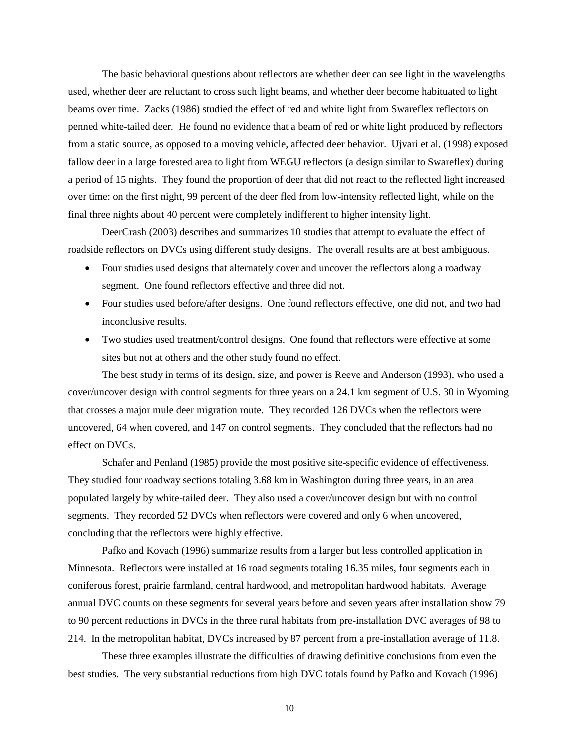The basic behavioral questions about reflectors are whether deer can see light in the wavelengths used, whether deer are reluctant to cross such light beams, and whether deer become habituated to light beams over time. Zacks (1986) studied the effect of red and white light from Swareflex reflectors on penned white-tailed deer. He found no evidence that a beam of red or white light produced by reflectors from a static source, as opposed to a moving vehicle, affected deer behavior. Ujvari et al. (1998) exposed fallow deer in a large forested area to light from WEGU reflectors (a design similar to Swareflex) during a period of 15 nights. They found the proportion of deer that did not react to the reflected light increased over time: on the first night, 99 percent of the deer fled from low-intensity reflected light, while on the final three nights about 40 percent were completely indifferent to higher intensity light.

DeerCrash (2003) describes and summarizes 10 studies that attempt to evaluate the effect of roadside reflectors on DVCs using different study designs. The overall results are at best ambiguous.

- Four studies used designs that alternately cover and uncover the reflectors along a roadway segment. One found reflectors effective and three did not.
- Four studies used before/after designs. One found reflectors effective, one did not, and two had inconclusive results.
- Two studies used treatment/control designs. One found that reflectors were effective at some sites but not at others and the other study found no effect.

The best study in terms of its design, size, and power is Reeve and Anderson (1993), who used a cover/uncover design with control segments for three years on a 24.1 km segment of U.S. 30 in Wyoming that crosses a major mule deer migration route. They recorded 126 DVCs when the reflectors were uncovered, 64 when covered, and 147 on control segments. They concluded that the reflectors had no effect on DVCs.

Schafer and Penland (1985) provide the most positive site-specific evidence of effectiveness. They studied four roadway sections totaling 3.68 km in Washington during three years, in an area populated largely by white-tailed deer. They also used a cover/uncover design but with no control segments. They recorded 52 DVCs when reflectors were covered and only 6 when uncovered, concluding that the reflectors were highly effective.

Pafko and Kovach (1996) summarize results from a larger but less controlled application in Minnesota. Reflectors were installed at 16 road segments totaling 16.35 miles, four segments each in coniferous forest, prairie farmland, central hardwood, and metropolitan hardwood habitats. Average annual DVC counts on these segments for several years before and seven years after installation show 79 to 90 percent reductions in DVCs in the three rural habitats from pre-installation DVC averages of 98 to 214. In the metropolitan habitat, DVCs increased by 87 percent from a pre-installation average of 11.8.

These three examples illustrate the difficulties of drawing definitive conclusions from even the best studies. The very substantial reductions from high DVC totals found by Pafko and Kovach (1996)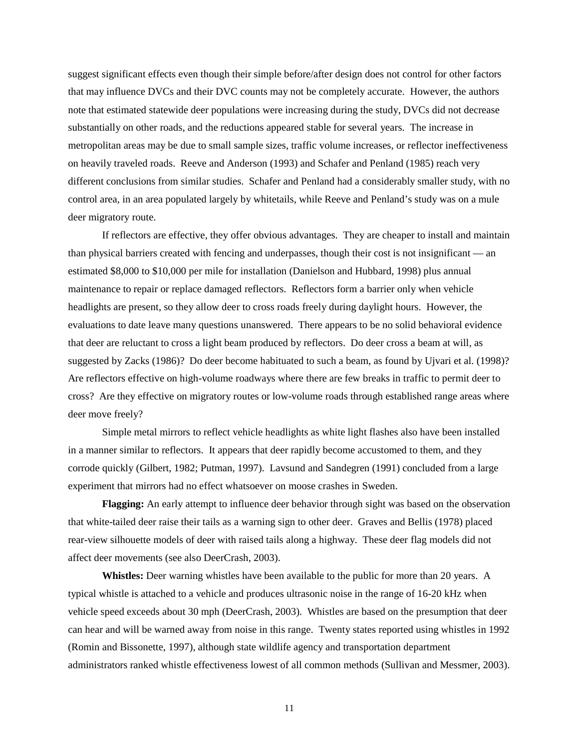suggest significant effects even though their simple before/after design does not control for other factors that may influence DVCs and their DVC counts may not be completely accurate. However, the authors note that estimated statewide deer populations were increasing during the study, DVCs did not decrease substantially on other roads, and the reductions appeared stable for several years. The increase in metropolitan areas may be due to small sample sizes, traffic volume increases, or reflector ineffectiveness on heavily traveled roads. Reeve and Anderson (1993) and Schafer and Penland (1985) reach very different conclusions from similar studies. Schafer and Penland had a considerably smaller study, with no control area, in an area populated largely by whitetails, while Reeve and Penland's study was on a mule deer migratory route.

If reflectors are effective, they offer obvious advantages. They are cheaper to install and maintain than physical barriers created with fencing and underpasses, though their cost is not insignificant — an estimated \$8,000 to \$10,000 per mile for installation (Danielson and Hubbard, 1998) plus annual maintenance to repair or replace damaged reflectors. Reflectors form a barrier only when vehicle headlights are present, so they allow deer to cross roads freely during daylight hours. However, the evaluations to date leave many questions unanswered. There appears to be no solid behavioral evidence that deer are reluctant to cross a light beam produced by reflectors. Do deer cross a beam at will, as suggested by Zacks (1986)? Do deer become habituated to such a beam, as found by Ujvari et al. (1998)? Are reflectors effective on high-volume roadways where there are few breaks in traffic to permit deer to cross? Are they effective on migratory routes or low-volume roads through established range areas where deer move freely?

Simple metal mirrors to reflect vehicle headlights as white light flashes also have been installed in a manner similar to reflectors. It appears that deer rapidly become accustomed to them, and they corrode quickly (Gilbert, 1982; Putman, 1997). Lavsund and Sandegren (1991) concluded from a large experiment that mirrors had no effect whatsoever on moose crashes in Sweden.

**Flagging:** An early attempt to influence deer behavior through sight was based on the observation that white-tailed deer raise their tails as a warning sign to other deer. Graves and Bellis (1978) placed rear-view silhouette models of deer with raised tails along a highway. These deer flag models did not affect deer movements (see also DeerCrash, 2003).

**Whistles:** Deer warning whistles have been available to the public for more than 20 years. A typical whistle is attached to a vehicle and produces ultrasonic noise in the range of 16-20 kHz when vehicle speed exceeds about 30 mph (DeerCrash, 2003). Whistles are based on the presumption that deer can hear and will be warned away from noise in this range. Twenty states reported using whistles in 1992 (Romin and Bissonette, 1997), although state wildlife agency and transportation department administrators ranked whistle effectiveness lowest of all common methods (Sullivan and Messmer, 2003).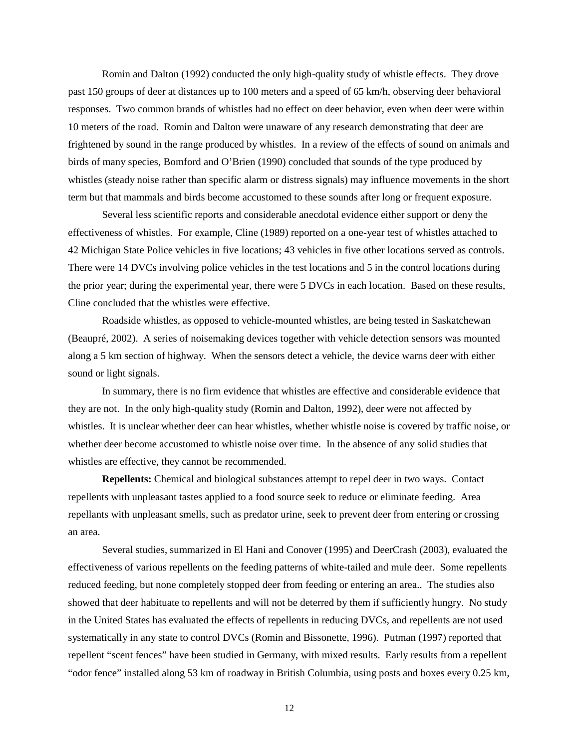Romin and Dalton (1992) conducted the only high-quality study of whistle effects. They drove past 150 groups of deer at distances up to 100 meters and a speed of 65 km/h, observing deer behavioral responses. Two common brands of whistles had no effect on deer behavior, even when deer were within 10 meters of the road. Romin and Dalton were unaware of any research demonstrating that deer are frightened by sound in the range produced by whistles. In a review of the effects of sound on animals and birds of many species, Bomford and O'Brien (1990) concluded that sounds of the type produced by whistles (steady noise rather than specific alarm or distress signals) may influence movements in the short term but that mammals and birds become accustomed to these sounds after long or frequent exposure.

Several less scientific reports and considerable anecdotal evidence either support or deny the effectiveness of whistles. For example, Cline (1989) reported on a one-year test of whistles attached to 42 Michigan State Police vehicles in five locations; 43 vehicles in five other locations served as controls. There were 14 DVCs involving police vehicles in the test locations and 5 in the control locations during the prior year; during the experimental year, there were 5 DVCs in each location. Based on these results, Cline concluded that the whistles were effective.

Roadside whistles, as opposed to vehicle-mounted whistles, are being tested in Saskatchewan (Beaupré, 2002). A series of noisemaking devices together with vehicle detection sensors was mounted along a 5 km section of highway. When the sensors detect a vehicle, the device warns deer with either sound or light signals.

In summary, there is no firm evidence that whistles are effective and considerable evidence that they are not. In the only high-quality study (Romin and Dalton, 1992), deer were not affected by whistles. It is unclear whether deer can hear whistles, whether whistle noise is covered by traffic noise, or whether deer become accustomed to whistle noise over time. In the absence of any solid studies that whistles are effective, they cannot be recommended.

**Repellents:** Chemical and biological substances attempt to repel deer in two ways. Contact repellents with unpleasant tastes applied to a food source seek to reduce or eliminate feeding. Area repellants with unpleasant smells, such as predator urine, seek to prevent deer from entering or crossing an area.

Several studies, summarized in El Hani and Conover (1995) and DeerCrash (2003), evaluated the effectiveness of various repellents on the feeding patterns of white-tailed and mule deer. Some repellents reduced feeding, but none completely stopped deer from feeding or entering an area.. The studies also showed that deer habituate to repellents and will not be deterred by them if sufficiently hungry. No study in the United States has evaluated the effects of repellents in reducing DVCs, and repellents are not used systematically in any state to control DVCs (Romin and Bissonette, 1996). Putman (1997) reported that repellent "scent fences" have been studied in Germany, with mixed results. Early results from a repellent "odor fence" installed along 53 km of roadway in British Columbia, using posts and boxes every 0.25 km,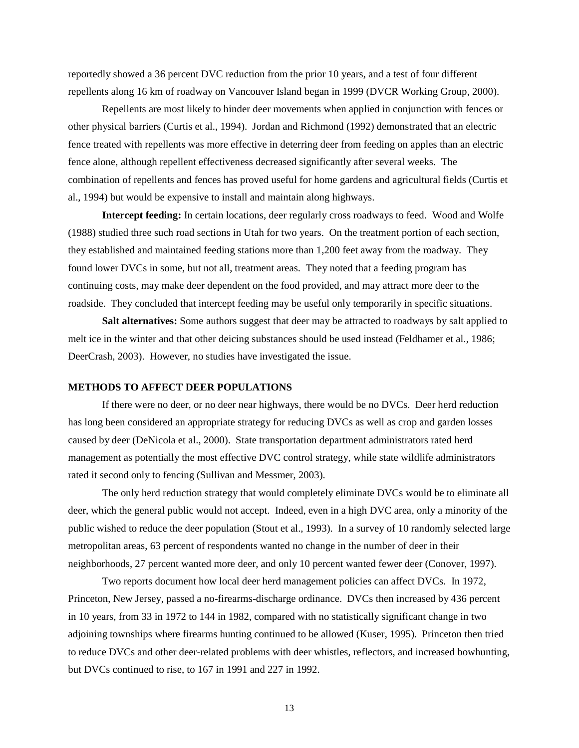reportedly showed a 36 percent DVC reduction from the prior 10 years, and a test of four different repellents along 16 km of roadway on Vancouver Island began in 1999 (DVCR Working Group, 2000).

Repellents are most likely to hinder deer movements when applied in conjunction with fences or other physical barriers (Curtis et al., 1994). Jordan and Richmond (1992) demonstrated that an electric fence treated with repellents was more effective in deterring deer from feeding on apples than an electric fence alone, although repellent effectiveness decreased significantly after several weeks. The combination of repellents and fences has proved useful for home gardens and agricultural fields (Curtis et al., 1994) but would be expensive to install and maintain along highways.

**Intercept feeding:** In certain locations, deer regularly cross roadways to feed. Wood and Wolfe (1988) studied three such road sections in Utah for two years. On the treatment portion of each section, they established and maintained feeding stations more than 1,200 feet away from the roadway. They found lower DVCs in some, but not all, treatment areas. They noted that a feeding program has continuing costs, may make deer dependent on the food provided, and may attract more deer to the roadside. They concluded that intercept feeding may be useful only temporarily in specific situations.

**Salt alternatives:** Some authors suggest that deer may be attracted to roadways by salt applied to melt ice in the winter and that other deicing substances should be used instead (Feldhamer et al., 1986; DeerCrash, 2003). However, no studies have investigated the issue.

#### **METHODS TO AFFECT DEER POPULATIONS**

If there were no deer, or no deer near highways, there would be no DVCs. Deer herd reduction has long been considered an appropriate strategy for reducing DVCs as well as crop and garden losses caused by deer (DeNicola et al., 2000). State transportation department administrators rated herd management as potentially the most effective DVC control strategy, while state wildlife administrators rated it second only to fencing (Sullivan and Messmer, 2003).

The only herd reduction strategy that would completely eliminate DVCs would be to eliminate all deer, which the general public would not accept. Indeed, even in a high DVC area, only a minority of the public wished to reduce the deer population (Stout et al., 1993). In a survey of 10 randomly selected large metropolitan areas, 63 percent of respondents wanted no change in the number of deer in their neighborhoods, 27 percent wanted more deer, and only 10 percent wanted fewer deer (Conover, 1997).

Two reports document how local deer herd management policies can affect DVCs. In 1972, Princeton, New Jersey, passed a no-firearms-discharge ordinance. DVCs then increased by 436 percent in 10 years, from 33 in 1972 to 144 in 1982, compared with no statistically significant change in two adjoining townships where firearms hunting continued to be allowed (Kuser, 1995). Princeton then tried to reduce DVCs and other deer-related problems with deer whistles, reflectors, and increased bowhunting, but DVCs continued to rise, to 167 in 1991 and 227 in 1992.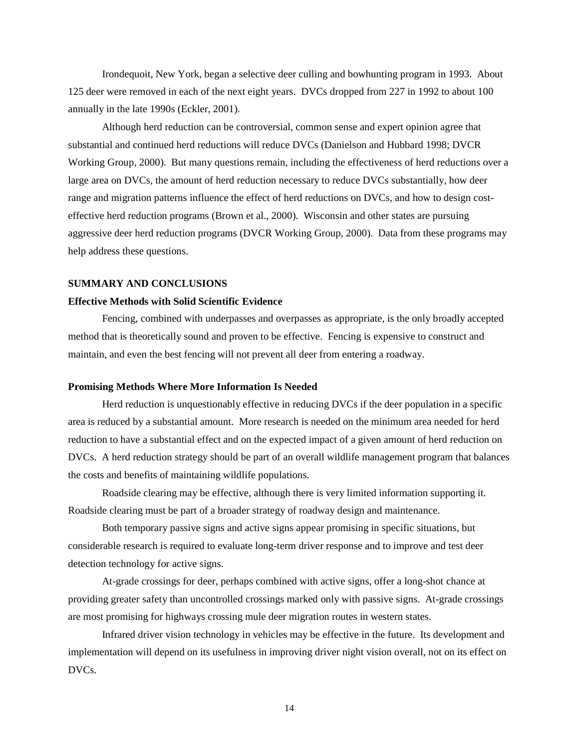Irondequoit, New York, began a selective deer culling and bowhunting program in 1993. About 125 deer were removed in each of the next eight years. DVCs dropped from 227 in 1992 to about 100 annually in the late 1990s (Eckler, 2001).

Although herd reduction can be controversial, common sense and expert opinion agree that substantial and continued herd reductions will reduce DVCs (Danielson and Hubbard 1998; DVCR Working Group, 2000). But many questions remain, including the effectiveness of herd reductions over a large area on DVCs, the amount of herd reduction necessary to reduce DVCs substantially, how deer range and migration patterns influence the effect of herd reductions on DVCs, and how to design costeffective herd reduction programs (Brown et al., 2000). Wisconsin and other states are pursuing aggressive deer herd reduction programs (DVCR Working Group, 2000). Data from these programs may help address these questions.

## **SUMMARY AND CONCLUSIONS**

## **Effective Methods with Solid Scientific Evidence**

Fencing, combined with underpasses and overpasses as appropriate, is the only broadly accepted method that is theoretically sound and proven to be effective. Fencing is expensive to construct and maintain, and even the best fencing will not prevent all deer from entering a roadway.

### **Promising Methods Where More Information Is Needed**

Herd reduction is unquestionably effective in reducing DVCs if the deer population in a specific area is reduced by a substantial amount. More research is needed on the minimum area needed for herd reduction to have a substantial effect and on the expected impact of a given amount of herd reduction on DVCs. A herd reduction strategy should be part of an overall wildlife management program that balances the costs and benefits of maintaining wildlife populations.

Roadside clearing may be effective, although there is very limited information supporting it. Roadside clearing must be part of a broader strategy of roadway design and maintenance.

Both temporary passive signs and active signs appear promising in specific situations, but considerable research is required to evaluate long-term driver response and to improve and test deer detection technology for active signs.

At-grade crossings for deer, perhaps combined with active signs, offer a long-shot chance at providing greater safety than uncontrolled crossings marked only with passive signs. At-grade crossings are most promising for highways crossing mule deer migration routes in western states.

Infrared driver vision technology in vehicles may be effective in the future. Its development and implementation will depend on its usefulness in improving driver night vision overall, not on its effect on DVCs.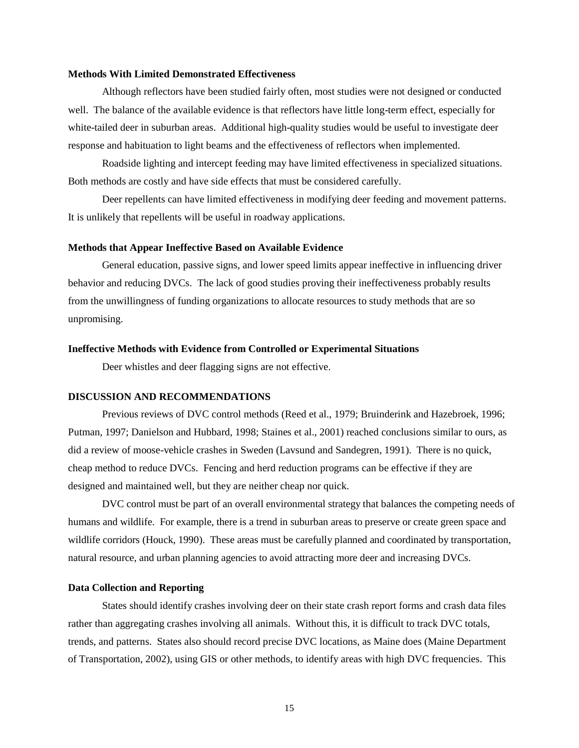#### **Methods With Limited Demonstrated Effectiveness**

Although reflectors have been studied fairly often, most studies were not designed or conducted well. The balance of the available evidence is that reflectors have little long-term effect, especially for white-tailed deer in suburban areas. Additional high-quality studies would be useful to investigate deer response and habituation to light beams and the effectiveness of reflectors when implemented.

Roadside lighting and intercept feeding may have limited effectiveness in specialized situations. Both methods are costly and have side effects that must be considered carefully.

Deer repellents can have limited effectiveness in modifying deer feeding and movement patterns. It is unlikely that repellents will be useful in roadway applications.

#### **Methods that Appear Ineffective Based on Available Evidence**

General education, passive signs, and lower speed limits appear ineffective in influencing driver behavior and reducing DVCs. The lack of good studies proving their ineffectiveness probably results from the unwillingness of funding organizations to allocate resources to study methods that are so unpromising.

### **Ineffective Methods with Evidence from Controlled or Experimental Situations**

Deer whistles and deer flagging signs are not effective.

## **DISCUSSION AND RECOMMENDATIONS**

Previous reviews of DVC control methods (Reed et al., 1979; Bruinderink and Hazebroek, 1996; Putman, 1997; Danielson and Hubbard, 1998; Staines et al., 2001) reached conclusions similar to ours, as did a review of moose-vehicle crashes in Sweden (Lavsund and Sandegren, 1991). There is no quick, cheap method to reduce DVCs. Fencing and herd reduction programs can be effective if they are designed and maintained well, but they are neither cheap nor quick.

DVC control must be part of an overall environmental strategy that balances the competing needs of humans and wildlife. For example, there is a trend in suburban areas to preserve or create green space and wildlife corridors (Houck, 1990). These areas must be carefully planned and coordinated by transportation, natural resource, and urban planning agencies to avoid attracting more deer and increasing DVCs.

#### **Data Collection and Reporting**

States should identify crashes involving deer on their state crash report forms and crash data files rather than aggregating crashes involving all animals. Without this, it is difficult to track DVC totals, trends, and patterns. States also should record precise DVC locations, as Maine does (Maine Department of Transportation, 2002), using GIS or other methods, to identify areas with high DVC frequencies. This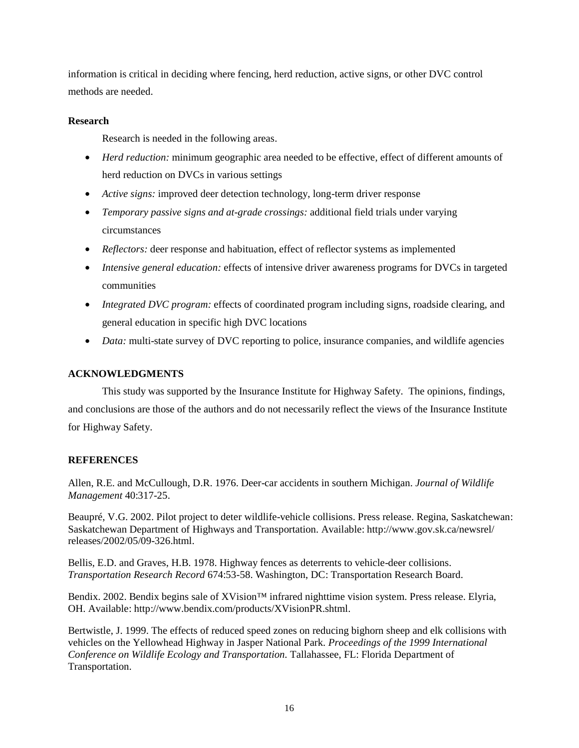information is critical in deciding where fencing, herd reduction, active signs, or other DVC control methods are needed.

# **Research**

Research is needed in the following areas.

- *Herd reduction:* minimum geographic area needed to be effective, effect of different amounts of herd reduction on DVCs in various settings
- *Active signs:* improved deer detection technology, long-term driver response
- *Temporary passive signs and at-grade crossings:* additional field trials under varying circumstances
- *Reflectors:* deer response and habituation, effect of reflector systems as implemented
- *Intensive general education:* effects of intensive driver awareness programs for DVCs in targeted communities
- *Integrated DVC program:* effects of coordinated program including signs, roadside clearing, and general education in specific high DVC locations
- *Data:* multi-state survey of DVC reporting to police, insurance companies, and wildlife agencies

# **ACKNOWLEDGMENTS**

This study was supported by the Insurance Institute for Highway Safety. The opinions, findings, and conclusions are those of the authors and do not necessarily reflect the views of the Insurance Institute for Highway Safety.

# **REFERENCES**

Allen, R.E. and McCullough, D.R. 1976. Deer-car accidents in southern Michigan. *Journal of Wildlife Management* 40:317-25.

Beaupré, V.G. 2002. Pilot project to deter wildlife-vehicle collisions. Press release. Regina, Saskatchewan: Saskatchewan Department of Highways and Transportation. Available: http://www.gov.sk.ca/newsrel/ releases/2002/05/09-326.html.

Bellis, E.D. and Graves, H.B. 1978. Highway fences as deterrents to vehicle-deer collisions. *Transportation Research Record* 674:53-58. Washington, DC: Transportation Research Board.

Bendix. 2002. Bendix begins sale of XVision™ infrared nighttime vision system. Press release. Elyria, OH. Available: http://www.bendix.com/products/XVisionPR.shtml.

Bertwistle, J. 1999. The effects of reduced speed zones on reducing bighorn sheep and elk collisions with vehicles on the Yellowhead Highway in Jasper National Park. *Proceedings of the 1999 International Conference on Wildlife Ecology and Transportation.* Tallahassee, FL: Florida Department of Transportation.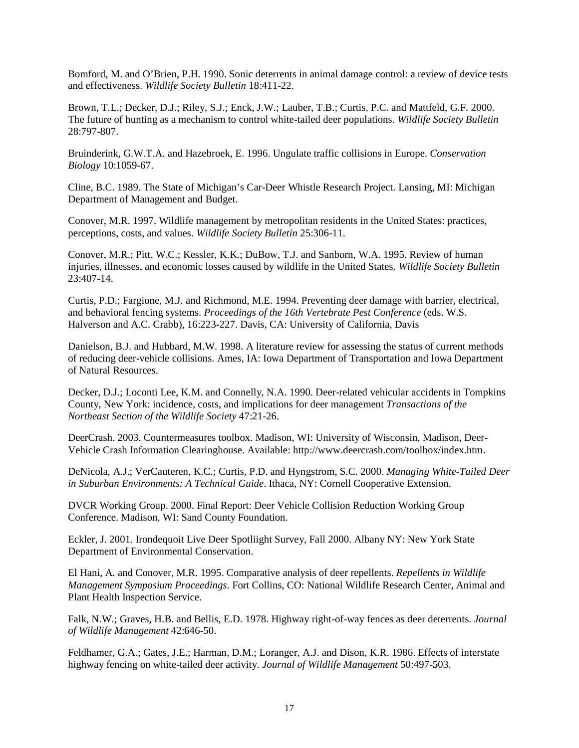Bomford, M. and O'Brien, P.H. 1990. Sonic deterrents in animal damage control: a review of device tests and effectiveness. *Wildlife Society Bulletin* 18:411-22.

Brown, T.L.; Decker, D.J.; Riley, S.J.; Enck, J.W.; Lauber, T.B.; Curtis, P.C. and Mattfeld, G.F. 2000. The future of hunting as a mechanism to control white-tailed deer populations. *Wildlife Society Bulletin* 28:797-807.

Bruinderink, G.W.T.A. and Hazebroek, E. 1996. Ungulate traffic collisions in Europe. *Conservation Biology* 10:1059-67.

Cline, B.C. 1989. The State of Michigan's Car-Deer Whistle Research Project. Lansing, MI: Michigan Department of Management and Budget.

Conover, M.R. 1997. Wildlife management by metropolitan residents in the United States: practices, perceptions, costs, and values. *Wildlife Society Bulletin* 25:306-11.

Conover, M.R.; Pitt, W.C.; Kessler, K.K.; DuBow, T.J. and Sanborn, W.A. 1995. Review of human injuries, illnesses, and economic losses caused by wildlife in the United States. *Wildlife Society Bulletin* 23:407-14.

Curtis, P.D.; Fargione, M.J. and Richmond, M.E. 1994. Preventing deer damage with barrier, electrical, and behavioral fencing systems. *Proceedings of the 16th Vertebrate Pest Conference* (eds. W.S. Halverson and A.C. Crabb), 16:223-227. Davis, CA: University of California, Davis

Danielson, B.J. and Hubbard, M.W. 1998. A literature review for assessing the status of current methods of reducing deer-vehicle collisions. Ames, IA: Iowa Department of Transportation and Iowa Department of Natural Resources.

Decker, D.J.; Loconti Lee, K.M. and Connelly, N.A. 1990. Deer-related vehicular accidents in Tompkins County, New York: incidence, costs, and implications for deer management *Transactions of the Northeast Section of the Wildlife Society* 47:21-26.

DeerCrash. 2003. Countermeasures toolbox. Madison, WI: University of Wisconsin, Madison, Deer-Vehicle Crash Information Clearinghouse. Available: http://www.deercrash.com/toolbox/index.htm.

DeNicola, A.J.; VerCauteren, K.C.; Curtis, P.D. and Hyngstrom, S.C. 2000. *Managing White-Tailed Deer in Suburban Environments: A Technical Guide*. Ithaca, NY: Cornell Cooperative Extension.

DVCR Working Group. 2000. Final Report: Deer Vehicle Collision Reduction Working Group Conference. Madison, WI: Sand County Foundation.

Eckler, J. 2001. Irondequoit Live Deer Spotliight Survey, Fall 2000. Albany NY: New York State Department of Environmental Conservation.

El Hani, A. and Conover, M.R. 1995. Comparative analysis of deer repellents. *Repellents in Wildlife Management Symposium Proceedings*. Fort Collins, CO: National Wildlife Research Center, Animal and Plant Health Inspection Service.

Falk, N.W.; Graves, H.B. and Bellis, E.D. 1978. Highway right-of-way fences as deer deterrents. *Journal of Wildlife Management* 42:646-50.

Feldhamer, G.A.; Gates, J.E.; Harman, D.M.; Loranger, A.J. and Dison, K.R. 1986. Effects of interstate highway fencing on white-tailed deer activity. *Journal of Wildlife Management* 50:497-503.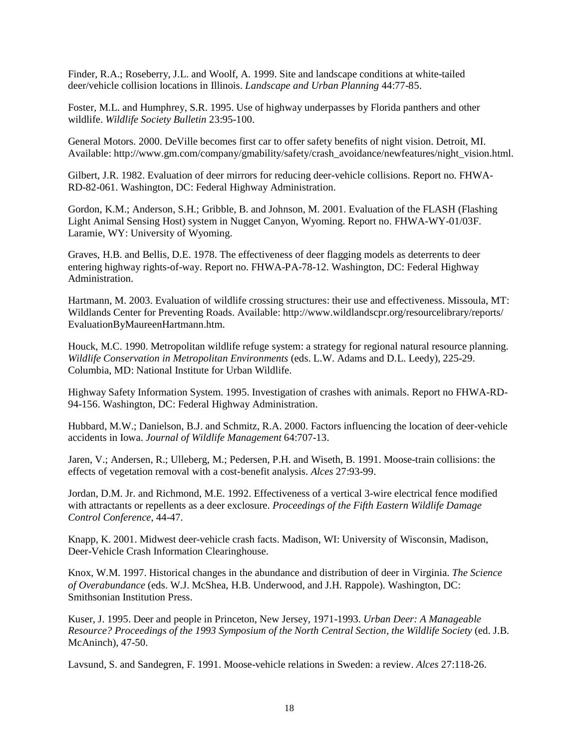Finder, R.A.; Roseberry, J.L. and Woolf, A. 1999. Site and landscape conditions at white-tailed deer/vehicle collision locations in Illinois. *Landscape and Urban Planning* 44:77-85.

Foster, M.L. and Humphrey, S.R. 1995. Use of highway underpasses by Florida panthers and other wildlife. *Wildlife Society Bulletin* 23:95-100.

General Motors. 2000. DeVille becomes first car to offer safety benefits of night vision. Detroit, MI. Available: http://www.gm.com/company/gmability/safety/crash\_avoidance/newfeatures/night\_vision.html.

Gilbert, J.R. 1982. Evaluation of deer mirrors for reducing deer-vehicle collisions. Report no. FHWA-RD-82-061. Washington, DC: Federal Highway Administration.

Gordon, K.M.; Anderson, S.H.; Gribble, B. and Johnson, M. 2001. Evaluation of the FLASH (Flashing Light Animal Sensing Host) system in Nugget Canyon, Wyoming. Report no. FHWA-WY-01/03F. Laramie, WY: University of Wyoming.

Graves, H.B. and Bellis, D.E. 1978. The effectiveness of deer flagging models as deterrents to deer entering highway rights-of-way. Report no. FHWA-PA-78-12. Washington, DC: Federal Highway Administration.

Hartmann, M. 2003. Evaluation of wildlife crossing structures: their use and effectiveness. Missoula, MT: Wildlands Center for Preventing Roads. Available: http://www.wildlandscpr.org/resourcelibrary/reports/ EvaluationByMaureenHartmann.htm.

Houck, M.C. 1990. Metropolitan wildlife refuge system: a strategy for regional natural resource planning. *Wildlife Conservation in Metropolitan Environments* (eds. L.W. Adams and D.L. Leedy), 225-29. Columbia, MD: National Institute for Urban Wildlife.

Highway Safety Information System. 1995. Investigation of crashes with animals. Report no FHWA-RD-94-156. Washington, DC: Federal Highway Administration.

Hubbard, M.W.; Danielson, B.J. and Schmitz, R.A. 2000. Factors influencing the location of deer-vehicle accidents in Iowa. *Journal of Wildlife Management* 64:707-13.

Jaren, V.; Andersen, R.; Ulleberg, M.; Pedersen, P.H. and Wiseth, B. 1991. Moose-train collisions: the effects of vegetation removal with a cost-benefit analysis. *Alces* 27:93-99.

Jordan, D.M. Jr. and Richmond, M.E. 1992. Effectiveness of a vertical 3-wire electrical fence modified with attractants or repellents as a deer exclosure. *Proceedings of the Fifth Eastern Wildlife Damage Control Conference*, 44-47.

Knapp, K. 2001. Midwest deer-vehicle crash facts. Madison, WI: University of Wisconsin, Madison, Deer-Vehicle Crash Information Clearinghouse.

Knox, W.M. 1997. Historical changes in the abundance and distribution of deer in Virginia. *The Science of Overabundance* (eds. W.J. McShea, H.B. Underwood, and J.H. Rappole). Washington, DC: Smithsonian Institution Press.

Kuser, J. 1995. Deer and people in Princeton, New Jersey, 1971-1993. *Urban Deer: A Manageable Resource? Proceedings of the 1993 Symposium of the North Central Section, the Wildlife Society* (ed. J.B. McAninch), 47-50.

Lavsund, S. and Sandegren, F. 1991. Moose-vehicle relations in Sweden: a review. *Alces* 27:118-26.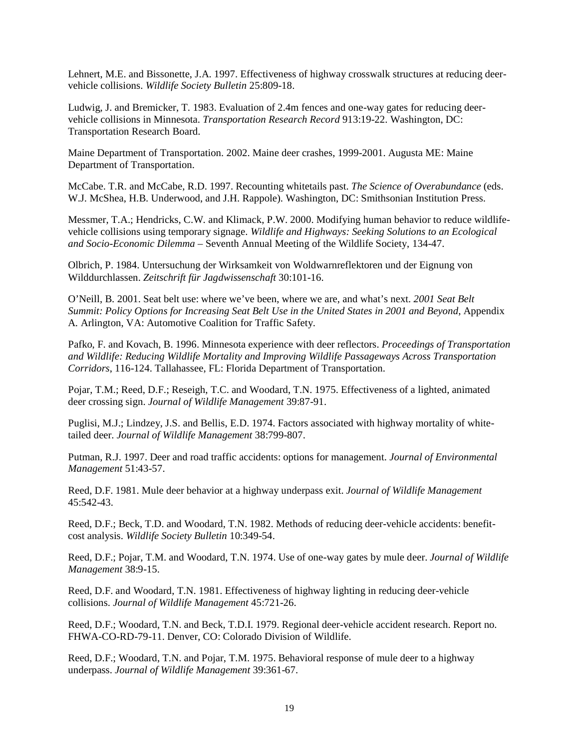Lehnert, M.E. and Bissonette, J.A. 1997. Effectiveness of highway crosswalk structures at reducing deervehicle collisions. *Wildlife Society Bulletin* 25:809-18.

Ludwig, J. and Bremicker, T. 1983. Evaluation of 2.4m fences and one-way gates for reducing deervehicle collisions in Minnesota. *Transportation Research Record* 913:19-22. Washington, DC: Transportation Research Board.

Maine Department of Transportation. 2002. Maine deer crashes, 1999-2001. Augusta ME: Maine Department of Transportation.

McCabe. T.R. and McCabe, R.D. 1997. Recounting whitetails past. *The Science of Overabundance* (eds. W.J. McShea, H.B. Underwood, and J.H. Rappole). Washington, DC: Smithsonian Institution Press.

Messmer, T.A.; Hendricks, C.W. and Klimack, P.W. 2000. Modifying human behavior to reduce wildlifevehicle collisions using temporary signage. *Wildlife and Highways: Seeking Solutions to an Ecological and Socio-Economic Dilemma* – Seventh Annual Meeting of the Wildlife Society, 134-47.

Olbrich, P. 1984. Untersuchung der Wirksamkeit von Woldwarnreflektoren und der Eignung von Wilddurchlassen. *Zeitschrift für Jagdwissenschaft* 30:101-16.

O'Neill, B. 2001. Seat belt use: where we've been, where we are, and what's next. *2001 Seat Belt Summit: Policy Options for Increasing Seat Belt Use in the United States in 2001 and Beyond*, Appendix A. Arlington, VA: Automotive Coalition for Traffic Safety.

Pafko, F. and Kovach, B. 1996. Minnesota experience with deer reflectors. *Proceedings of Transportation and Wildlife: Reducing Wildlife Mortality and Improving Wildlife Passageways Across Transportation Corridors*, 116-124. Tallahassee, FL: Florida Department of Transportation.

Pojar, T.M.; Reed, D.F.; Reseigh, T.C. and Woodard, T.N. 1975. Effectiveness of a lighted, animated deer crossing sign. *Journal of Wildlife Management* 39:87-91.

Puglisi, M.J.; Lindzey, J.S. and Bellis, E.D. 1974. Factors associated with highway mortality of whitetailed deer. *Journal of Wildlife Management* 38:799-807.

Putman, R.J. 1997. Deer and road traffic accidents: options for management. *Journal of Environmental Management* 51:43-57.

Reed, D.F. 1981. Mule deer behavior at a highway underpass exit. *Journal of Wildlife Management* 45:542-43.

Reed, D.F.; Beck, T.D. and Woodard, T.N. 1982. Methods of reducing deer-vehicle accidents: benefitcost analysis. *Wildlife Society Bulletin* 10:349-54.

Reed, D.F.; Pojar, T.M. and Woodard, T.N. 1974. Use of one-way gates by mule deer. *Journal of Wildlife Management* 38:9-15.

Reed, D.F. and Woodard, T.N. 1981. Effectiveness of highway lighting in reducing deer-vehicle collisions. *Journal of Wildlife Management* 45:721-26.

Reed, D.F.; Woodard, T.N. and Beck, T.D.I. 1979. Regional deer-vehicle accident research. Report no. FHWA-CO-RD-79-11. Denver, CO: Colorado Division of Wildlife.

Reed, D.F.; Woodard, T.N. and Pojar, T.M. 1975. Behavioral response of mule deer to a highway underpass. *Journal of Wildlife Management* 39:361-67.